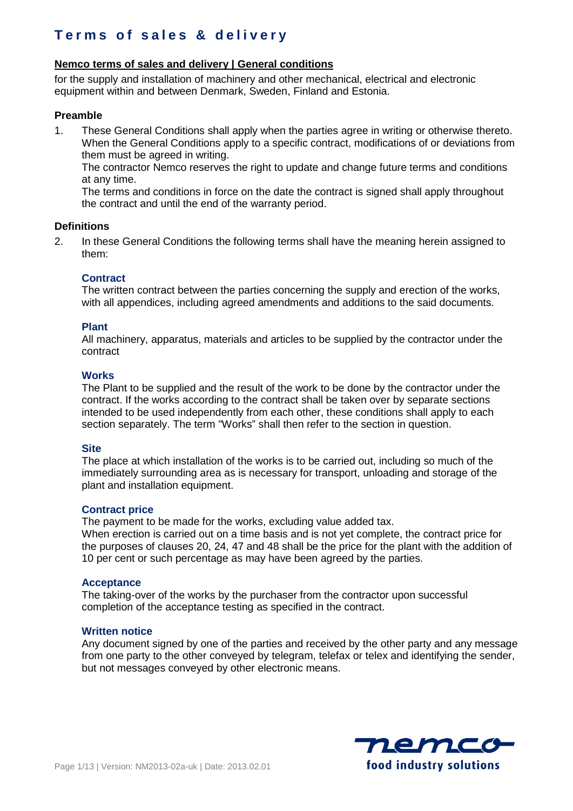## **Nemco terms of sales and delivery | General conditions**

for the supply and installation of machinery and other mechanical, electrical and electronic equipment within and between Denmark, Sweden, Finland and Estonia.

## **Preamble**

1. These General Conditions shall apply when the parties agree in writing or otherwise thereto. When the General Conditions apply to a specific contract, modifications of or deviations from them must be agreed in writing.

The contractor Nemco reserves the right to update and change future terms and conditions at any time.

The terms and conditions in force on the date the contract is signed shall apply throughout the contract and until the end of the warranty period.

### **Definitions**

2. In these General Conditions the following terms shall have the meaning herein assigned to them:

## **Contract**

The written contract between the parties concerning the supply and erection of the works, with all appendices, including agreed amendments and additions to the said documents.

### **Plant**

All machinery, apparatus, materials and articles to be supplied by the contractor under the contract

### **Works**

The Plant to be supplied and the result of the work to be done by the contractor under the contract. If the works according to the contract shall be taken over by separate sections intended to be used independently from each other, these conditions shall apply to each section separately. The term "Works" shall then refer to the section in question.

#### **Site**

The place at which installation of the works is to be carried out, including so much of the immediately surrounding area as is necessary for transport, unloading and storage of the plant and installation equipment.

#### **Contract price**

The payment to be made for the works, excluding value added tax.

When erection is carried out on a time basis and is not yet complete, the contract price for the purposes of clauses 20, 24, 47 and 48 shall be the price for the plant with the addition of 10 per cent or such percentage as may have been agreed by the parties.

#### **Acceptance**

The taking-over of the works by the purchaser from the contractor upon successful completion of the acceptance testing as specified in the contract.

#### **Written notice**

Any document signed by one of the parties and received by the other party and any message from one party to the other conveyed by telegram, telefax or telex and identifying the sender, but not messages conveyed by other electronic means.

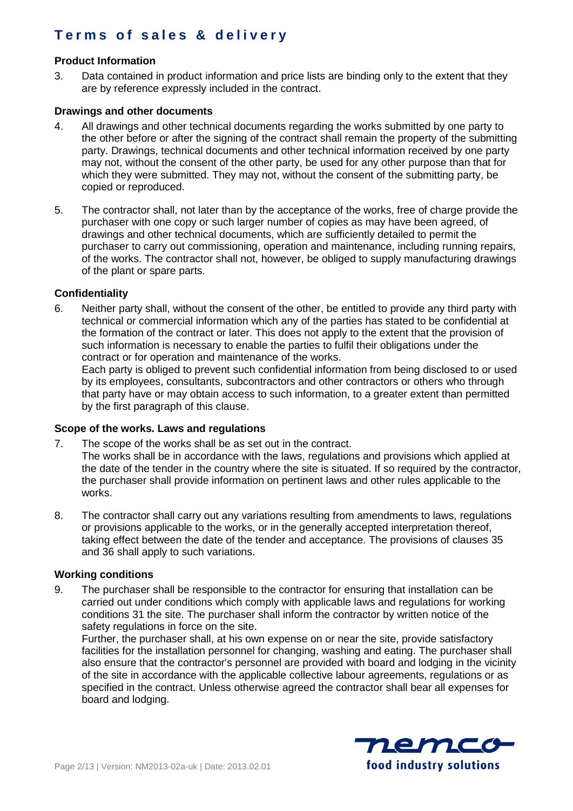## **Product Information**

3. Data contained in product information and price lists are binding only to the extent that they are by reference expressly included in the contract.

### **Drawings and other documents**

- 4. All drawings and other technical documents regarding the works submitted by one party to the other before or after the signing of the contract shall remain the property of the submitting party. Drawings, technical documents and other technical information received by one party may not, without the consent of the other party, be used for any other purpose than that for which they were submitted. They may not, without the consent of the submitting party, be copied or reproduced.
- 5. The contractor shall, not later than by the acceptance of the works, free of charge provide the purchaser with one copy or such larger number of copies as may have been agreed, of drawings and other technical documents, which are sufficiently detailed to permit the purchaser to carry out commissioning, operation and maintenance, including running repairs, of the works. The contractor shall not, however, be obliged to supply manufacturing drawings of the plant or spare parts.

## **Confidentiality**

6. Neither party shall, without the consent of the other, be entitled to provide any third party with technical or commercial information which any of the parties has stated to be confidential at the formation of the contract or later. This does not apply to the extent that the provision of such information is necessary to enable the parties to fulfil their obligations under the contract or for operation and maintenance of the works.

Each party is obliged to prevent such confidential information from being disclosed to or used by its employees, consultants, subcontractors and other contractors or others who through that party have or may obtain access to such information, to a greater extent than permitted by the first paragraph of this clause.

#### **Scope of the works. Laws and regulations**

- 7. The scope of the works shall be as set out in the contract.
- The works shall be in accordance with the laws, regulations and provisions which applied at the date of the tender in the country where the site is situated. If so required by the contractor, the purchaser shall provide information on pertinent laws and other rules applicable to the works.
- 8. The contractor shall carry out any variations resulting from amendments to laws, regulations or provisions applicable to the works, or in the generally accepted interpretation thereof, taking effect between the date of the tender and acceptance. The provisions of clauses 35 and 36 shall apply to such variations.

#### **Working conditions**

9. The purchaser shall be responsible to the contractor for ensuring that installation can be carried out under conditions which comply with applicable laws and regulations for working conditions 31 the site. The purchaser shall inform the contractor by written notice of the safety regulations in force on the site.

Further, the purchaser shall, at his own expense on or near the site, provide satisfactory facilities for the installation personnel for changing, washing and eating. The purchaser shall also ensure that the contractor's personnel are provided with board and lodging in the vicinity of the site in accordance with the applicable collective labour agreements, regulations or as specified in the contract. Unless otherwise agreed the contractor shall bear all expenses for board and lodging.

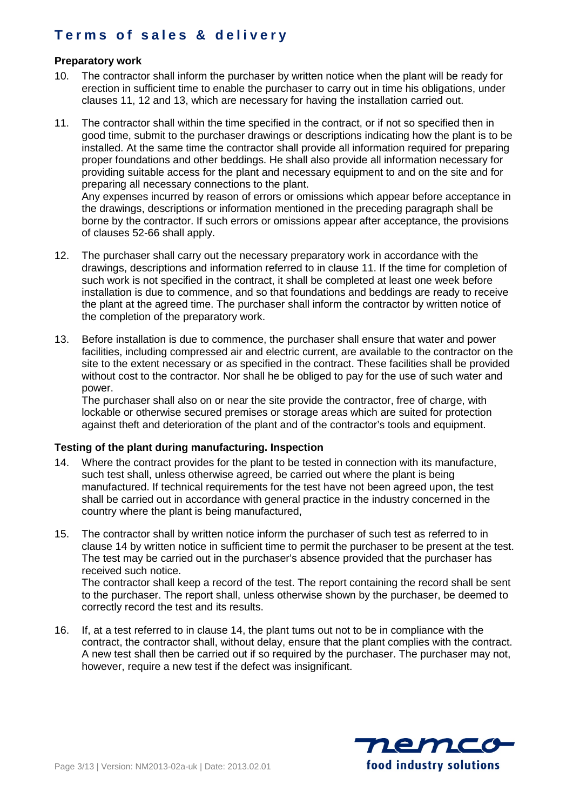## **Preparatory work**

- 10. The contractor shall inform the purchaser by written notice when the plant will be ready for erection in sufficient time to enable the purchaser to carry out in time his obligations, under clauses 11, 12 and 13, which are necessary for having the installation carried out.
- 11. The contractor shall within the time specified in the contract, or if not so specified then in good time, submit to the purchaser drawings or descriptions indicating how the plant is to be installed. At the same time the contractor shall provide all information required for preparing proper foundations and other beddings. He shall also provide all information necessary for providing suitable access for the plant and necessary equipment to and on the site and for preparing all necessary connections to the plant. Any expenses incurred by reason of errors or omissions which appear before acceptance in

the drawings, descriptions or information mentioned in the preceding paragraph shall be borne by the contractor. If such errors or omissions appear after acceptance, the provisions of clauses 52-66 shall apply.

- 12. The purchaser shall carry out the necessary preparatory work in accordance with the drawings, descriptions and information referred to in clause 11. If the time for completion of such work is not specified in the contract, it shall be completed at least one week before installation is due to commence, and so that foundations and beddings are ready to receive the plant at the agreed time. The purchaser shall inform the contractor by written notice of the completion of the preparatory work.
- 13. Before installation is due to commence, the purchaser shall ensure that water and power facilities, including compressed air and electric current, are available to the contractor on the site to the extent necessary or as specified in the contract. These facilities shall be provided without cost to the contractor. Nor shall he be obliged to pay for the use of such water and power.

The purchaser shall also on or near the site provide the contractor, free of charge, with lockable or otherwise secured premises or storage areas which are suited for protection against theft and deterioration of the plant and of the contractor's tools and equipment.

## **Testing of the plant during manufacturing. Inspection**

- 14. Where the contract provides for the plant to be tested in connection with its manufacture, such test shall, unless otherwise agreed, be carried out where the plant is being manufactured. If technical requirements for the test have not been agreed upon, the test shall be carried out in accordance with general practice in the industry concerned in the country where the plant is being manufactured,
- 15. The contractor shall by written notice inform the purchaser of such test as referred to in clause 14 by written notice in sufficient time to permit the purchaser to be present at the test. The test may be carried out in the purchaser's absence provided that the purchaser has received such notice. The contractor shall keep a record of the test. The report containing the record shall be sent

to the purchaser. The report shall, unless otherwise shown by the purchaser, be deemed to correctly record the test and its results.

16. If, at a test referred to in clause 14, the plant tums out not to be in compliance with the contract, the contractor shall, without delay, ensure that the plant complies with the contract. A new test shall then be carried out if so required by the purchaser. The purchaser may not, however, require a new test if the defect was insignificant.

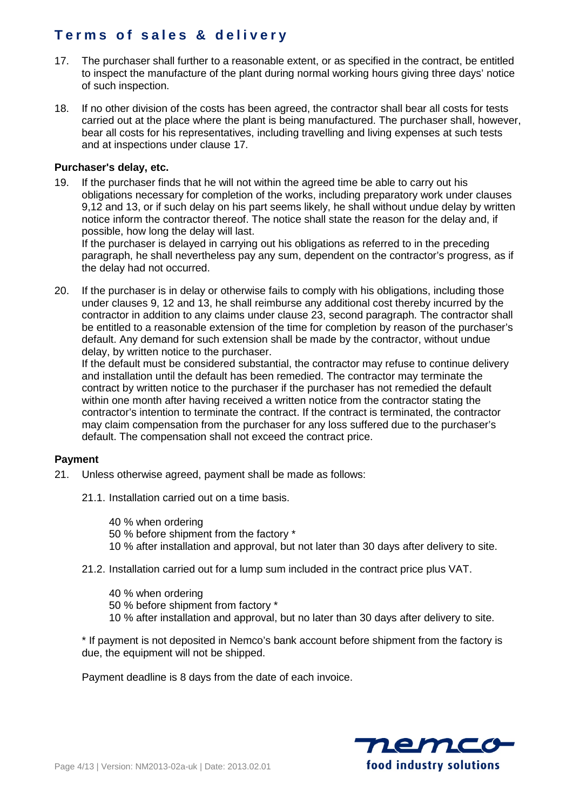- 17. The purchaser shall further to a reasonable extent, or as specified in the contract, be entitled to inspect the manufacture of the plant during normal working hours giving three days' notice of such inspection.
- 18. If no other division of the costs has been agreed, the contractor shall bear all costs for tests carried out at the place where the plant is being manufactured. The purchaser shall, however, bear all costs for his representatives, including travelling and living expenses at such tests and at inspections under clause 17.

## **Purchaser's delay, etc.**

19. If the purchaser finds that he will not within the agreed time be able to carry out his obligations necessary for completion of the works, including preparatory work under clauses 9,12 and 13, or if such delay on his part seems likely, he shall without undue delay by written notice inform the contractor thereof. The notice shall state the reason for the delay and, if possible, how long the delay will last.

If the purchaser is delayed in carrying out his obligations as referred to in the preceding paragraph, he shall nevertheless pay any sum, dependent on the contractor's progress, as if the delay had not occurred.

20. If the purchaser is in delay or otherwise fails to comply with his obligations, including those under clauses 9, 12 and 13, he shall reimburse any additional cost thereby incurred by the contractor in addition to any claims under clause 23, second paragraph. The contractor shall be entitled to a reasonable extension of the time for completion by reason of the purchaser's default. Any demand for such extension shall be made by the contractor, without undue delay, by written notice to the purchaser.

If the default must be considered substantial, the contractor may refuse to continue delivery and installation until the default has been remedied. The contractor may terminate the contract by written notice to the purchaser if the purchaser has not remedied the default within one month after having received a written notice from the contractor stating the contractor's intention to terminate the contract. If the contract is terminated, the contractor may claim compensation from the purchaser for any loss suffered due to the purchaser's default. The compensation shall not exceed the contract price.

## **Payment**

- 21. Unless otherwise agreed, payment shall be made as follows:
	- 21.1. Installation carried out on a time basis.

40 % when ordering 50 % before shipment from the factory \* 10 % after installation and approval, but not later than 30 days after delivery to site.

21.2. Installation carried out for a lump sum included in the contract price plus VAT.

40 % when ordering 50 % before shipment from factory \* 10 % after installation and approval, but no later than 30 days after delivery to site.

\* If payment is not deposited in Nemco's bank account before shipment from the factory is due, the equipment will not be shipped.

Payment deadline is 8 days from the date of each invoice.

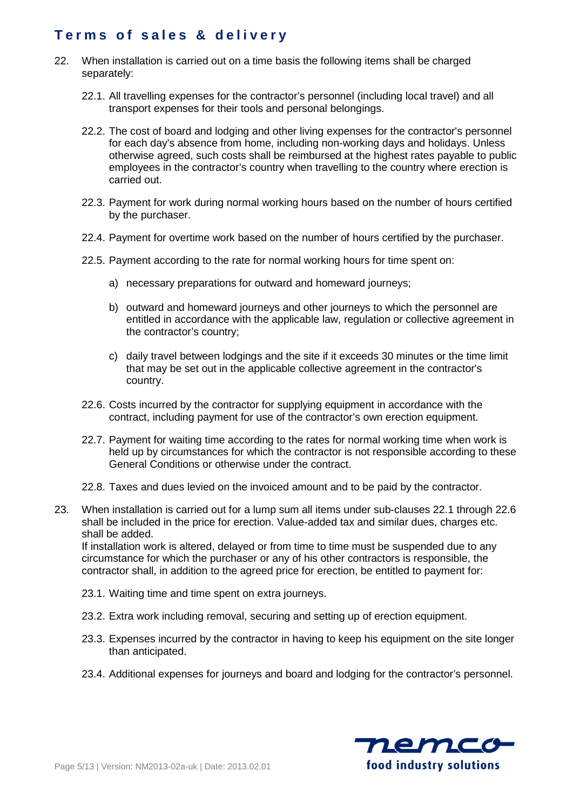- 22. When installation is carried out on a time basis the following items shall be charged separately:
	- 22.1. All travelling expenses for the contractor's personnel (including local travel) and all transport expenses for their tools and personal belongings.
	- 22.2. The cost of board and lodging and other living expenses for the contractor's personnel for each day's absence from home, including non-working days and holidays. Unless otherwise agreed, such costs shall be reimbursed at the highest rates payable to public employees in the contractor's country when travelling to the country where erection is carried out.
	- 22.3. Payment for work during normal working hours based on the number of hours certified by the purchaser.
	- 22.4. Payment for overtime work based on the number of hours certified by the purchaser.
	- 22.5. Payment according to the rate for normal working hours for time spent on:
		- a) necessary preparations for outward and homeward journeys;
		- b) outward and homeward journeys and other journeys to which the personnel are entitled in accordance with the applicable law, regulation or collective agreement in the contractor's country;
		- c) daily travel between lodgings and the site if it exceeds 30 minutes or the time limit that may be set out in the applicable collective agreement in the contractor's country.
	- 22.6. Costs incurred by the contractor for supplying equipment in accordance with the contract, including payment for use of the contractor's own erection equipment.
	- 22.7. Payment for waiting time according to the rates for normal working time when work is held up by circumstances for which the contractor is not responsible according to these General Conditions or otherwise under the contract.
	- 22.8. Taxes and dues levied on the invoiced amount and to be paid by the contractor.
- 23. When installation is carried out for a lump sum all items under sub-clauses 22.1 through 22.6 shall be included in the price for erection. Value-added tax and similar dues, charges etc. shall be added.

If installation work is altered, delayed or from time to time must be suspended due to any circumstance for which the purchaser or any of his other contractors is responsible, the contractor shall, in addition to the agreed price for erection, be entitled to payment for:

- 23.1. Waiting time and time spent on extra journeys.
- 23.2. Extra work including removal, securing and setting up of erection equipment.
- 23.3. Expenses incurred by the contractor in having to keep his equipment on the site longer than anticipated.
- 23.4. Additional expenses for journeys and board and lodging for the contractor's personnel.

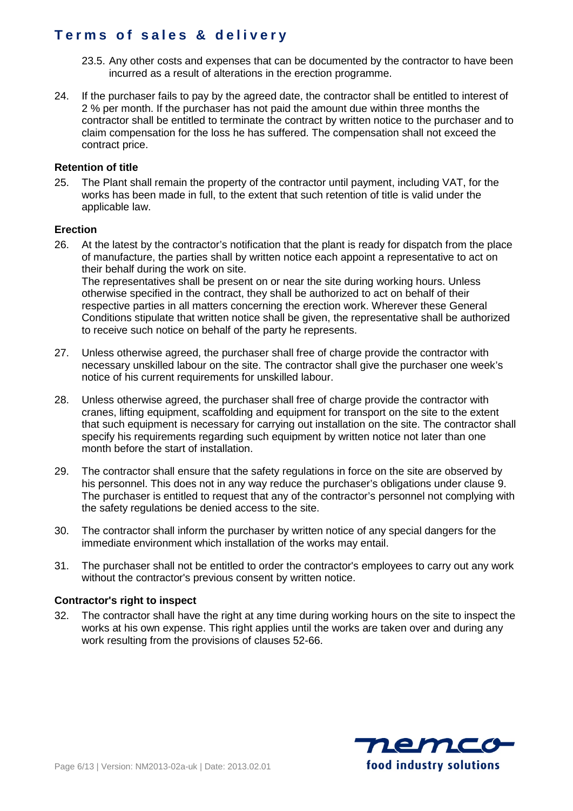- 23.5. Any other costs and expenses that can be documented by the contractor to have been incurred as a result of alterations in the erection programme.
- 24. If the purchaser fails to pay by the agreed date, the contractor shall be entitled to interest of 2 % per month. If the purchaser has not paid the amount due within three months the contractor shall be entitled to terminate the contract by written notice to the purchaser and to claim compensation for the loss he has suffered. The compensation shall not exceed the contract price.

### **Retention of title**

25. The Plant shall remain the property of the contractor until payment, including VAT, for the works has been made in full, to the extent that such retention of title is valid under the applicable law.

### **Erection**

26. At the latest by the contractor's notification that the plant is ready for dispatch from the place of manufacture, the parties shall by written notice each appoint a representative to act on their behalf during the work on site. The representatives shall be present on or near the site during working hours. Unless

otherwise specified in the contract, they shall be authorized to act on behalf of their respective parties in all matters concerning the erection work. Wherever these General Conditions stipulate that written notice shall be given, the representative shall be authorized to receive such notice on behalf of the party he represents.

- 27. Unless otherwise agreed, the purchaser shall free of charge provide the contractor with necessary unskilled labour on the site. The contractor shall give the purchaser one week's notice of his current requirements for unskilled labour.
- 28. Unless otherwise agreed, the purchaser shall free of charge provide the contractor with cranes, lifting equipment, scaffolding and equipment for transport on the site to the extent that such equipment is necessary for carrying out installation on the site. The contractor shall specify his requirements regarding such equipment by written notice not later than one month before the start of installation.
- 29. The contractor shall ensure that the safety regulations in force on the site are observed by his personnel. This does not in any way reduce the purchaser's obligations under clause 9. The purchaser is entitled to request that any of the contractor's personnel not complying with the safety regulations be denied access to the site.
- 30. The contractor shall inform the purchaser by written notice of any special dangers for the immediate environment which installation of the works may entail.
- 31. The purchaser shall not be entitled to order the contractor's employees to carry out any work without the contractor's previous consent by written notice.

#### **Contractor's right to inspect**

32. The contractor shall have the right at any time during working hours on the site to inspect the works at his own expense. This right applies until the works are taken over and during any work resulting from the provisions of clauses 52-66.

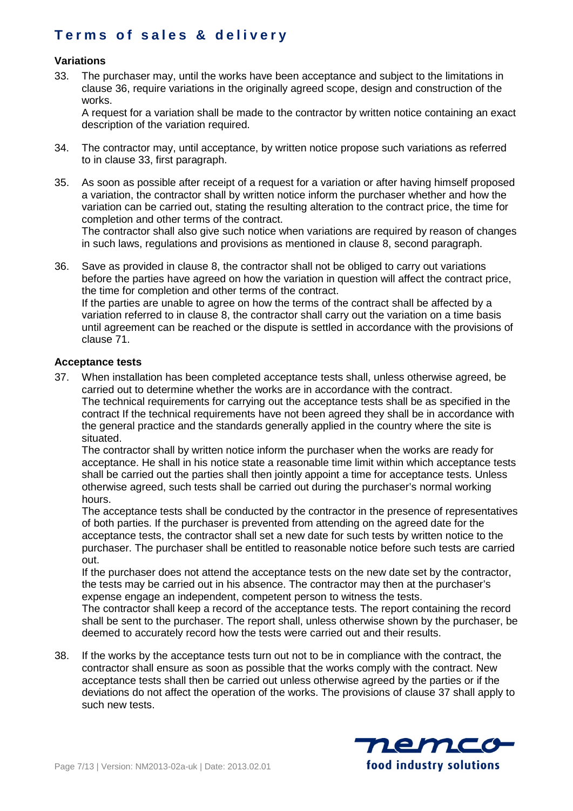## **Variations**

33. The purchaser may, until the works have been acceptance and subject to the limitations in clause 36, require variations in the originally agreed scope, design and construction of the works.

A request for a variation shall be made to the contractor by written notice containing an exact description of the variation required.

- 34. The contractor may, until acceptance, by written notice propose such variations as referred to in clause 33, first paragraph.
- 35. As soon as possible after receipt of a request for a variation or after having himself proposed a variation, the contractor shall by written notice inform the purchaser whether and how the variation can be carried out, stating the resulting alteration to the contract price, the time for completion and other terms of the contract.

The contractor shall also give such notice when variations are required by reason of changes in such laws, regulations and provisions as mentioned in clause 8, second paragraph.

36. Save as provided in clause 8, the contractor shall not be obliged to carry out variations before the parties have agreed on how the variation in question will affect the contract price, the time for completion and other terms of the contract. If the parties are unable to agree on how the terms of the contract shall be affected by a variation referred to in clause 8, the contractor shall carry out the variation on a time basis until agreement can be reached or the dispute is settled in accordance with the provisions of clause 71.

## **Acceptance tests**

37. When installation has been completed acceptance tests shall, unless otherwise agreed, be carried out to determine whether the works are in accordance with the contract. The technical requirements for carrying out the acceptance tests shall be as specified in the contract If the technical requirements have not been agreed they shall be in accordance with the general practice and the standards generally applied in the country where the site is situated.

The contractor shall by written notice inform the purchaser when the works are ready for acceptance. He shall in his notice state a reasonable time limit within which acceptance tests shall be carried out the parties shall then jointly appoint a time for acceptance tests. Unless otherwise agreed, such tests shall be carried out during the purchaser's normal working hours.

The acceptance tests shall be conducted by the contractor in the presence of representatives of both parties. If the purchaser is prevented from attending on the agreed date for the acceptance tests, the contractor shall set a new date for such tests by written notice to the purchaser. The purchaser shall be entitled to reasonable notice before such tests are carried out.

If the purchaser does not attend the acceptance tests on the new date set by the contractor, the tests may be carried out in his absence. The contractor may then at the purchaser's expense engage an independent, competent person to witness the tests.

The contractor shall keep a record of the acceptance tests. The report containing the record shall be sent to the purchaser. The report shall, unless otherwise shown by the purchaser, be deemed to accurately record how the tests were carried out and their results.

38. If the works by the acceptance tests turn out not to be in compliance with the contract, the contractor shall ensure as soon as possible that the works comply with the contract. New acceptance tests shall then be carried out unless otherwise agreed by the parties or if the deviations do not affect the operation of the works. The provisions of clause 37 shall apply to such new tests.

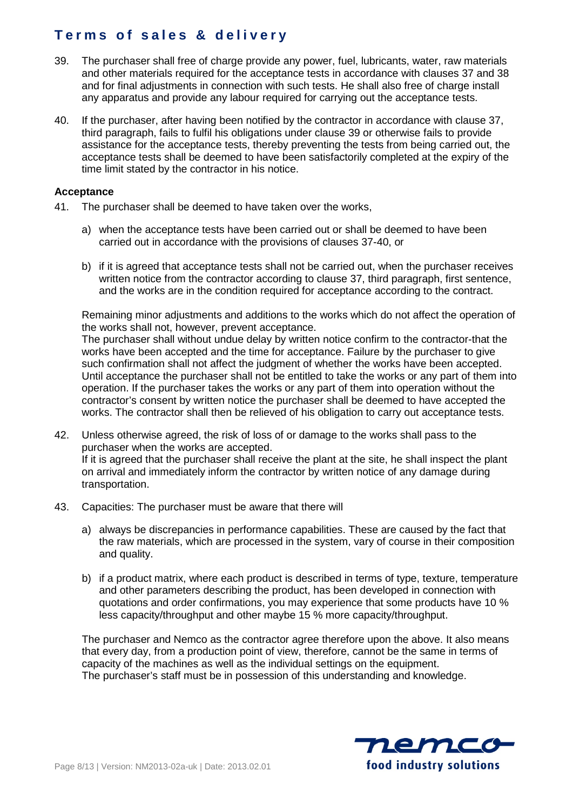- 39. The purchaser shall free of charge provide any power, fuel, lubricants, water, raw materials and other materials required for the acceptance tests in accordance with clauses 37 and 38 and for final adjustments in connection with such tests. He shall also free of charge install any apparatus and provide any labour required for carrying out the acceptance tests.
- 40. If the purchaser, after having been notified by the contractor in accordance with clause 37, third paragraph, fails to fulfil his obligations under clause 39 or otherwise fails to provide assistance for the acceptance tests, thereby preventing the tests from being carried out, the acceptance tests shall be deemed to have been satisfactorily completed at the expiry of the time limit stated by the contractor in his notice.

### **Acceptance**

- 41. The purchaser shall be deemed to have taken over the works,
	- a) when the acceptance tests have been carried out or shall be deemed to have been carried out in accordance with the provisions of clauses 37-40, or
	- b) if it is agreed that acceptance tests shall not be carried out, when the purchaser receives written notice from the contractor according to clause 37, third paragraph, first sentence, and the works are in the condition required for acceptance according to the contract.

Remaining minor adjustments and additions to the works which do not affect the operation of the works shall not, however, prevent acceptance.

The purchaser shall without undue delay by written notice confirm to the contractor-that the works have been accepted and the time for acceptance. Failure by the purchaser to give such confirmation shall not affect the judgment of whether the works have been accepted. Until acceptance the purchaser shall not be entitled to take the works or any part of them into operation. If the purchaser takes the works or any part of them into operation without the contractor's consent by written notice the purchaser shall be deemed to have accepted the works. The contractor shall then be relieved of his obligation to carry out acceptance tests.

- 42. Unless otherwise agreed, the risk of loss of or damage to the works shall pass to the purchaser when the works are accepted. If it is agreed that the purchaser shall receive the plant at the site, he shall inspect the plant on arrival and immediately inform the contractor by written notice of any damage during transportation.
- 43. Capacities: The purchaser must be aware that there will
	- a) always be discrepancies in performance capabilities. These are caused by the fact that the raw materials, which are processed in the system, vary of course in their composition and quality.
	- b) if a product matrix, where each product is described in terms of type, texture, temperature and other parameters describing the product, has been developed in connection with quotations and order confirmations, you may experience that some products have 10 % less capacity/throughput and other maybe 15 % more capacity/throughput.

The purchaser and Nemco as the contractor agree therefore upon the above. It also means that every day, from a production point of view, therefore, cannot be the same in terms of capacity of the machines as well as the individual settings on the equipment. The purchaser's staff must be in possession of this understanding and knowledge.

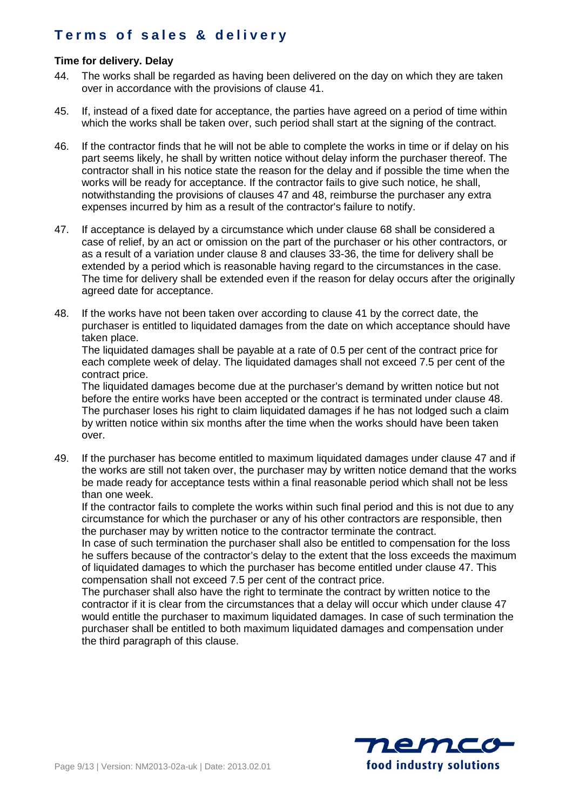## **Time for delivery. Delay**

- 44. The works shall be regarded as having been delivered on the day on which they are taken over in accordance with the provisions of clause 41.
- 45. If, instead of a fixed date for acceptance, the parties have agreed on a period of time within which the works shall be taken over, such period shall start at the signing of the contract.
- 46. If the contractor finds that he will not be able to complete the works in time or if delay on his part seems likely, he shall by written notice without delay inform the purchaser thereof. The contractor shall in his notice state the reason for the delay and if possible the time when the works will be ready for acceptance. If the contractor fails to give such notice, he shall, notwithstanding the provisions of clauses 47 and 48, reimburse the purchaser any extra expenses incurred by him as a result of the contractor's failure to notify.
- 47. If acceptance is delayed by a circumstance which under clause 68 shall be considered a case of relief, by an act or omission on the part of the purchaser or his other contractors, or as a result of a variation under clause 8 and clauses 33-36, the time for delivery shall be extended by a period which is reasonable having regard to the circumstances in the case. The time for delivery shall be extended even if the reason for delay occurs after the originally agreed date for acceptance.
- 48. If the works have not been taken over according to clause 41 by the correct date, the purchaser is entitled to liquidated damages from the date on which acceptance should have taken place.

The liquidated damages shall be payable at a rate of 0.5 per cent of the contract price for each complete week of delay. The liquidated damages shall not exceed 7.5 per cent of the contract price.

The liquidated damages become due at the purchaser's demand by written notice but not before the entire works have been accepted or the contract is terminated under clause 48. The purchaser loses his right to claim liquidated damages if he has not lodged such a claim by written notice within six months after the time when the works should have been taken over.

49. If the purchaser has become entitled to maximum liquidated damages under clause 47 and if the works are still not taken over, the purchaser may by written notice demand that the works be made ready for acceptance tests within a final reasonable period which shall not be less than one week.

If the contractor fails to complete the works within such final period and this is not due to any circumstance for which the purchaser or any of his other contractors are responsible, then the purchaser may by written notice to the contractor terminate the contract.

In case of such termination the purchaser shall also be entitled to compensation for the loss he suffers because of the contractor's delay to the extent that the loss exceeds the maximum of liquidated damages to which the purchaser has become entitled under clause 47. This compensation shall not exceed 7.5 per cent of the contract price.

The purchaser shall also have the right to terminate the contract by written notice to the contractor if it is clear from the circumstances that a delay will occur which under clause 47 would entitle the purchaser to maximum liquidated damages. In case of such termination the purchaser shall be entitled to both maximum liquidated damages and compensation under the third paragraph of this clause.

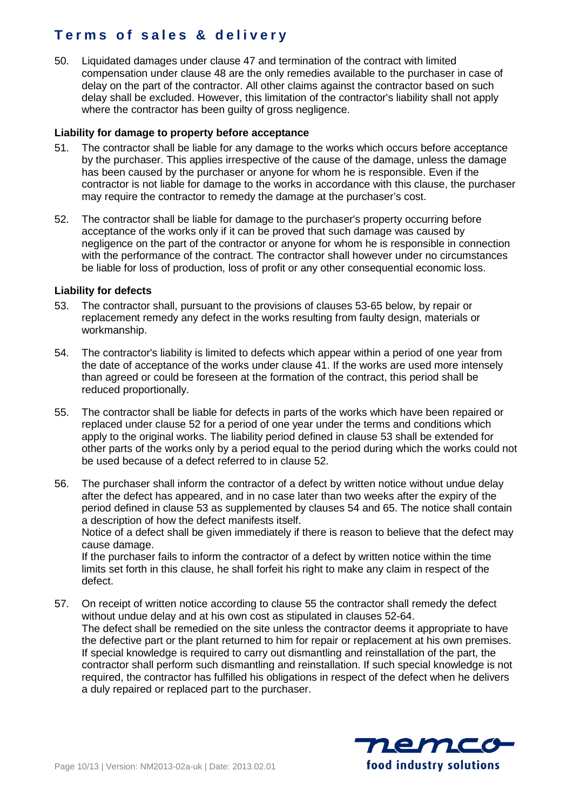50. Liquidated damages under clause 47 and termination of the contract with limited compensation under clause 48 are the only remedies available to the purchaser in case of delay on the part of the contractor. All other claims against the contractor based on such delay shall be excluded. However, this limitation of the contractor's liability shall not apply where the contractor has been guilty of gross negligence.

### **Liability for damage to property before acceptance**

- 51. The contractor shall be liable for any damage to the works which occurs before acceptance by the purchaser. This applies irrespective of the cause of the damage, unless the damage has been caused by the purchaser or anyone for whom he is responsible. Even if the contractor is not liable for damage to the works in accordance with this clause, the purchaser may require the contractor to remedy the damage at the purchaser's cost.
- 52. The contractor shall be liable for damage to the purchaser's property occurring before acceptance of the works only if it can be proved that such damage was caused by negligence on the part of the contractor or anyone for whom he is responsible in connection with the performance of the contract. The contractor shall however under no circumstances be liable for loss of production, loss of profit or any other consequential economic loss.

### **Liability for defects**

- 53. The contractor shall, pursuant to the provisions of clauses 53-65 below, by repair or replacement remedy any defect in the works resulting from faulty design, materials or workmanship.
- 54. The contractor's liability is limited to defects which appear within a period of one year from the date of acceptance of the works under clause 41. If the works are used more intensely than agreed or could be foreseen at the formation of the contract, this period shall be reduced proportionally.
- 55. The contractor shall be liable for defects in parts of the works which have been repaired or replaced under clause 52 for a period of one year under the terms and conditions which apply to the original works. The liability period defined in clause 53 shall be extended for other parts of the works only by a period equal to the period during which the works could not be used because of a defect referred to in clause 52.
- 56. The purchaser shall inform the contractor of a defect by written notice without undue delay after the defect has appeared, and in no case later than two weeks after the expiry of the period defined in clause 53 as supplemented by clauses 54 and 65. The notice shall contain a description of how the defect manifests itself. Notice of a defect shall be given immediately if there is reason to believe that the defect may cause damage.

If the purchaser fails to inform the contractor of a defect by written notice within the time limits set forth in this clause, he shall forfeit his right to make any claim in respect of the defect.

57. On receipt of written notice according to clause 55 the contractor shall remedy the defect without undue delay and at his own cost as stipulated in clauses 52-64. The defect shall be remedied on the site unless the contractor deems it appropriate to have the defective part or the plant returned to him for repair or replacement at his own premises. If special knowledge is required to carry out dismantling and reinstallation of the part, the contractor shall perform such dismantling and reinstallation. If such special knowledge is not required, the contractor has fulfilled his obligations in respect of the defect when he delivers a duly repaired or replaced part to the purchaser.

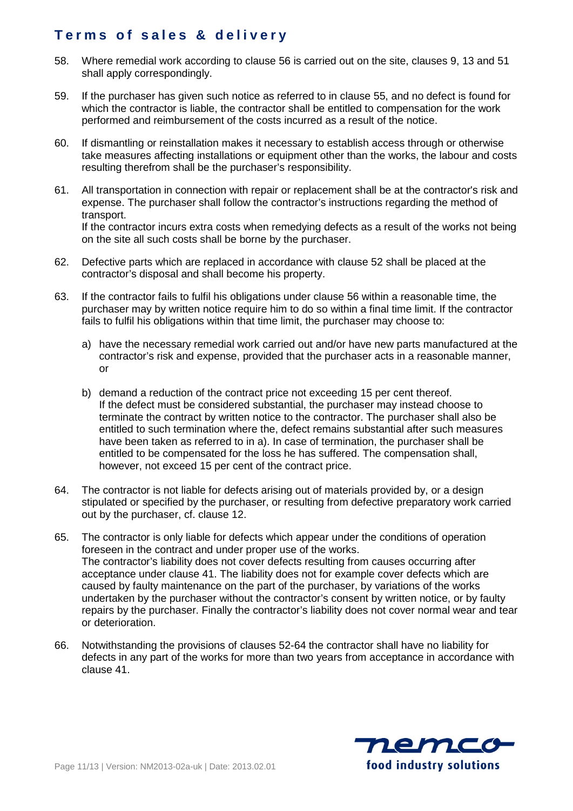- 58. Where remedial work according to clause 56 is carried out on the site, clauses 9, 13 and 51 shall apply correspondingly.
- 59. If the purchaser has given such notice as referred to in clause 55, and no defect is found for which the contractor is liable, the contractor shall be entitled to compensation for the work performed and reimbursement of the costs incurred as a result of the notice.
- 60. If dismantling or reinstallation makes it necessary to establish access through or otherwise take measures affecting installations or equipment other than the works, the labour and costs resulting therefrom shall be the purchaser's responsibility.
- 61. All transportation in connection with repair or replacement shall be at the contractor's risk and expense. The purchaser shall follow the contractor's instructions regarding the method of transport. If the contractor incurs extra costs when remedying defects as a result of the works not being on the site all such costs shall be borne by the purchaser.
- 62. Defective parts which are replaced in accordance with clause 52 shall be placed at the contractor's disposal and shall become his property.
- 63. If the contractor fails to fulfil his obligations under clause 56 within a reasonable time, the purchaser may by written notice require him to do so within a final time limit. If the contractor fails to fulfil his obligations within that time limit, the purchaser may choose to:
	- a) have the necessary remedial work carried out and/or have new parts manufactured at the contractor's risk and expense, provided that the purchaser acts in a reasonable manner, or
	- b) demand a reduction of the contract price not exceeding 15 per cent thereof. If the defect must be considered substantial, the purchaser may instead choose to terminate the contract by written notice to the contractor. The purchaser shall also be entitled to such termination where the, defect remains substantial after such measures have been taken as referred to in a). In case of termination, the purchaser shall be entitled to be compensated for the loss he has suffered. The compensation shall, however, not exceed 15 per cent of the contract price.
- 64. The contractor is not liable for defects arising out of materials provided by, or a design stipulated or specified by the purchaser, or resulting from defective preparatory work carried out by the purchaser, cf. clause 12.
- 65. The contractor is only liable for defects which appear under the conditions of operation foreseen in the contract and under proper use of the works. The contractor's liability does not cover defects resulting from causes occurring after acceptance under clause 41. The liability does not for example cover defects which are caused by faulty maintenance on the part of the purchaser, by variations of the works undertaken by the purchaser without the contractor's consent by written notice, or by faulty repairs by the purchaser. Finally the contractor's liability does not cover normal wear and tear or deterioration.
- 66. Notwithstanding the provisions of clauses 52-64 the contractor shall have no liability for defects in any part of the works for more than two years from acceptance in accordance with clause 41.

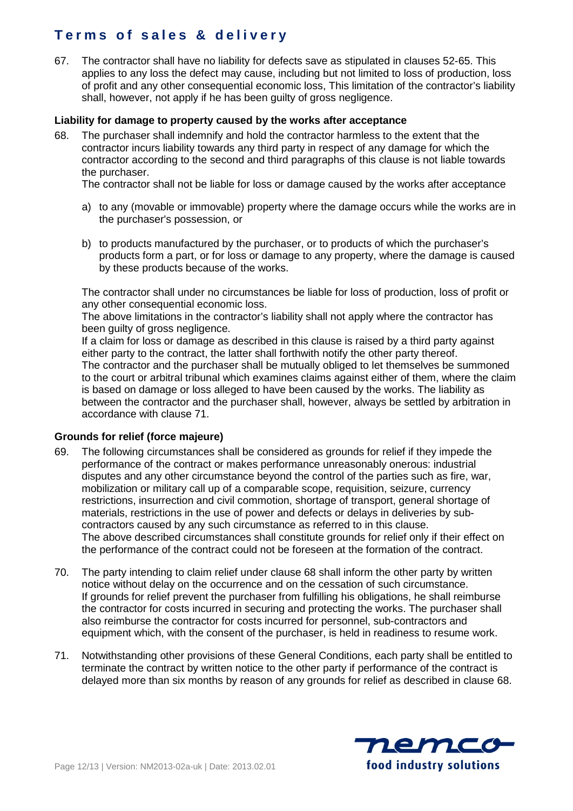67. The contractor shall have no liability for defects save as stipulated in clauses 52-65. This applies to any loss the defect may cause, including but not limited to loss of production, loss of profit and any other consequential economic loss, This limitation of the contractor's liability shall, however, not apply if he has been guilty of gross negligence.

### **Liability for damage to property caused by the works after acceptance**

68. The purchaser shall indemnify and hold the contractor harmless to the extent that the contractor incurs liability towards any third party in respect of any damage for which the contractor according to the second and third paragraphs of this clause is not liable towards the purchaser.

The contractor shall not be liable for loss or damage caused by the works after acceptance

- a) to any (movable or immovable) property where the damage occurs while the works are in the purchaser's possession, or
- b) to products manufactured by the purchaser, or to products of which the purchaser's products form a part, or for loss or damage to any property, where the damage is caused by these products because of the works.

The contractor shall under no circumstances be liable for loss of production, loss of profit or any other consequential economic loss.

The above limitations in the contractor's liability shall not apply where the contractor has been guilty of gross negligence.

If a claim for loss or damage as described in this clause is raised by a third party against either party to the contract, the latter shall forthwith notify the other party thereof. The contractor and the purchaser shall be mutually obliged to let themselves be summoned to the court or arbitral tribunal which examines claims against either of them, where the claim is based on damage or loss alleged to have been caused by the works. The liability as between the contractor and the purchaser shall, however, always be settled by arbitration in accordance with clause 71.

## **Grounds for relief (force majeure)**

- 69. The following circumstances shall be considered as grounds for relief if they impede the performance of the contract or makes performance unreasonably onerous: industrial disputes and any other circumstance beyond the control of the parties such as fire, war, mobilization or military call up of a comparable scope, requisition, seizure, currency restrictions, insurrection and civil commotion, shortage of transport, general shortage of materials, restrictions in the use of power and defects or delays in deliveries by subcontractors caused by any such circumstance as referred to in this clause. The above described circumstances shall constitute grounds for relief only if their effect on the performance of the contract could not be foreseen at the formation of the contract.
- 70. The party intending to claim relief under clause 68 shall inform the other party by written notice without delay on the occurrence and on the cessation of such circumstance. If grounds for relief prevent the purchaser from fulfilling his obligations, he shall reimburse the contractor for costs incurred in securing and protecting the works. The purchaser shall also reimburse the contractor for costs incurred for personnel, sub-contractors and equipment which, with the consent of the purchaser, is held in readiness to resume work.
- 71. Notwithstanding other provisions of these General Conditions, each party shall be entitled to terminate the contract by written notice to the other party if performance of the contract is delayed more than six months by reason of any grounds for relief as described in clause 68.